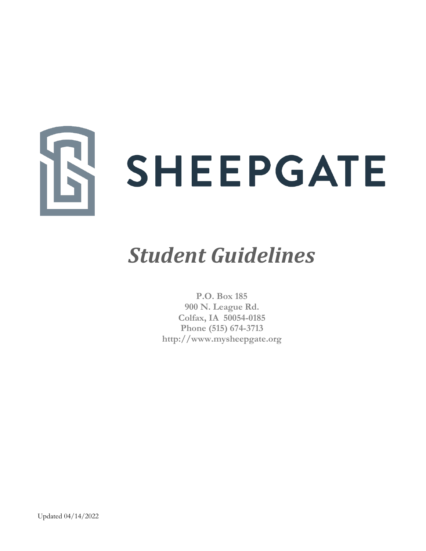

# *Student Guidelines*

**P.O. Box 185 900 N. League Rd. Colfax, IA 50054-0185 Phone (515) 674-3713 [http://www.mysheepgate.org](http://www.mysheepgate.org/)**

<span id="page-0-0"></span>Updated 04/14/2022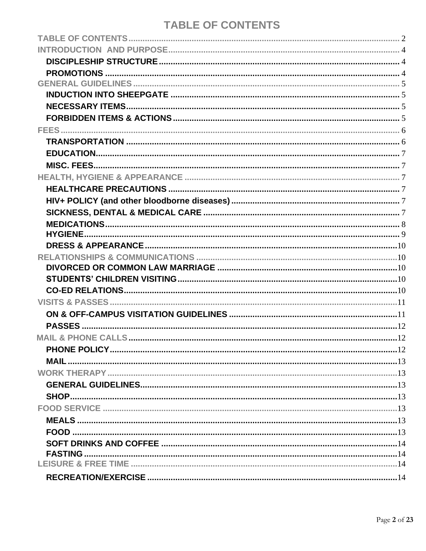# **TABLE OF CONTENTS**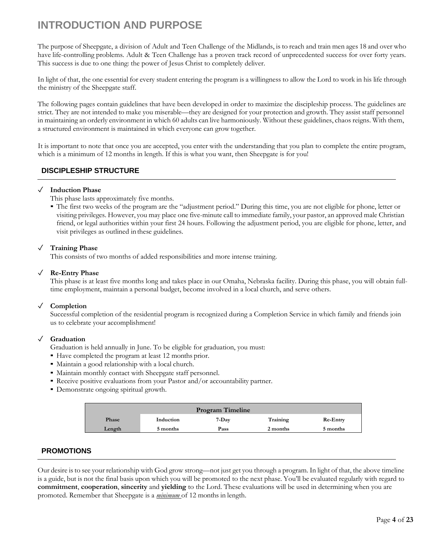# <span id="page-3-0"></span>**INTRODUCTION AND PURPOSE**

The purpose of Sheepgate, a division of Adult and Teen Challenge of the Midlands, is to reach and train men ages 18 and over who have life-controlling problems. Adult & Teen Challenge has a proven track record of unprecedented success for over forty years. This success is due to one thing: the power of Jesus Christ to completely deliver.

In light of that, the one essential for every student entering the program is a willingness to allow the Lord to work in his life through the ministry of the Sheepgate staff.

The following pages contain guidelines that have been developed in order to maximize the discipleship process. The guidelines are strict. They are not intended to make you miserable—they are designed for your protection and growth. They assist staff personnel in maintaining an orderly environment in which 60 adults can live harmoniously. Without these guidelines, chaos reigns. With them, a structured environment is maintained in which everyone can growtogether.

It is important to note that once you are accepted, you enter with the understanding that you plan to complete the entire program, which is a minimum of 12 months in length. If this is what you want, then Sheepgate is for you!

#### <span id="page-3-1"></span>**DISCIPLESHIP STRUCTURE**

#### ✓ **Induction Phase**

[Thi](#page-16-4)s phase lasts approximately five months.

▪ The first two weeks of the program are the "adjustment period." During this time, you are not eligible for phone, letter or visiting privileges. However, you may place one five-minute call to immediate family, your pastor, an approved male Christian friend, or legal authorities within your first 24 hours. Following the adjustment period, you are eligible for phone, letter, and visit privileges as outlined inthese guidelines.

#### ✓ **Training Phase**

This consists of two months of added responsibilities and more intense training.

#### ✓ **Re-Entry Phase**

This phase is at least five months long and takes place in our Omaha, Nebraska facility. During this phase, you will obtain fulltime employment, maintain a personal budget, become involved in a local church, and serve others.

#### ✓ **Completion**

Successful completion of the residential program is recognized during a Completion Service in which family and friends join us to celebrate your accomplishment!

#### ✓ **Graduation**

Graduation is held annually in June. To be eligible for graduation, you must:

- Have completed the program at least 12 months prior.
- Maintain a good relationship with a local church.
- Maintain monthly contact with Sheepgate staff personnel.
- Receive positive evaluations from your Pastor and/or accountability partner.
- Demonstrate ongoing spiritual growth.

| <b>Program Timeline</b> |           |       |          |                 |  |  |  |
|-------------------------|-----------|-------|----------|-----------------|--|--|--|
| Phase                   | Induction | 7-Day | Training | <b>Re-Entry</b> |  |  |  |
| Length                  | 5 months  | Pass  | 2 months | 5 months        |  |  |  |

#### <span id="page-3-2"></span>**PROMOTIONS**

Our desire isto see your relationship with God grow strong—not just get you through a program. In light of that, the above timeline is a guide, but is not the final basis upon which you will be promoted to the next phase. You'll be evaluated regularly with regard to **commitment**, **cooperation**, **sincerity** and **yielding** to the Lord. These evaluations will be used in determining when you are promoted. Remember that Sheepgate is a *minimum* of 12 months in length.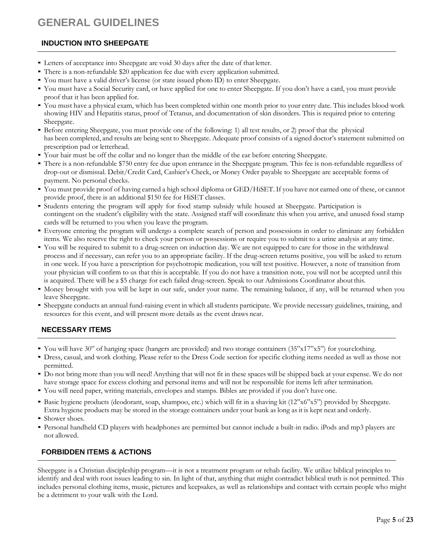# <span id="page-4-0"></span>**GENERAL GUIDELINES**

#### <span id="page-4-1"></span>**INDUCTION INTO SHEEPGATE**

- Letters of acceptance into Sheepgate are void 30 days after the date of that letter.
- There is a non-refundable \$20 application fee due with every application submitted.
- You must have a valid driver's license (or state issued photo ID) to enter Sheepgate.
- You must have a Social Security card, or have applied for one to enter Sheepgate. If you don't have a card, you must provide proof that it has been applied for.
- You must have a physical exam, which has been completed within one month prior to your entry date. This includes blood work showing HIV and Hepatitis status, proof of Tetanus, and documentation of skin disorders. This is required prior to entering Sheepgate.
- Before entering Sheepgate, you must provide one of the following: 1) all test results, or 2) proof that the physical has been completed, and results are being sent to Sheepgate. Adequate proof consists of a signed doctor's statement submitted on prescription pad or letterhead.
- Your hair must be off the collar and no longer than the middle of the ear before entering Sheepgate.
- There is a non-refundable \$750 entry fee due upon entrance in the Sheepgate program. This fee is non-refundable regardless of drop-out or dismissal. Debit/Credit Card, Cashier's Check, or Money Order payable to Sheepgate are acceptable forms of payment. No personal checks.
- You must provide proof of having earned a high school diploma or GED/HiSET. If you have not earned one of these, or cannot provide proof, there is an additional \$150 fee for HiSET classes.
- Students entering the program will apply for food stamp subsidy while housed at Sheepgate. Participation is contingent on the student's eligibility with the state. Assigned staff will coordinate this when you arrive, and unused food stamp cards will be returned to you when you leave the program.
- Everyone entering the program will undergo a complete search of person and possessions in order to eliminate any forbidden items. We also reserve the right to check your person or possessions or require you to submit to a urine analysis at any time.
- You will be required to submit to a drug-screen on induction day. We are not equipped to care for those in the withdrawal process and if necessary, can refer you to an appropriate facility. If the drug-screen returns positive, you will be asked to return in one week. If you have a prescription for psychotropic medication, you will test positive. However, a note of transition from your physician will confirm to us that this is acceptable. If you do not have a transition note, you will not be accepted until this is acquired. There will be a \$5 charge for each failed drug-screen. Speak to our Admissions Coordinator aboutthis.
- Money brought with you will be kept in our safe, under your name. The remaining balance, if any, will be returned when you leave Sheepgate.
- Sheepgate conducts an annual fund-raising event in which all students participate. We provide necessary guidelines, training, and resources for this event, and will present more details as the event draws near.

#### <span id="page-4-2"></span>**NECESSARY ITEMS**

- You will have 30" of hanging space (hangers are provided) and two storage containers (35"x17"x5") for yourclothing.
- Dress, casual, and work clothing. Please refer to the Dress Code section for specific clothing items needed as well as those not permitted.
- Do not bring more than you will need! Anything that will not fit in these spaces will be shipped back at your expense. We do not have storage space for excess clothing and personal items and will not be responsible for items left after termination.
- You will need paper, writing materials, envelopes and stamps. Bibles are provided if you don't have one.
- Basic hygiene products (deodorant, soap, shampoo, etc.) which will fit in a shaving kit (12"x6"x5") provided by Sheepgate. Extra hygiene products may be stored in the storage containers under your bunk as long as it is kept neat and orderly.
- Shower shoes.
- Personal handheld CD players with headphones are permitted but cannot include a built-in radio. iPods and mp3 players are not allowed.

#### <span id="page-4-3"></span>**FORBIDDEN ITEMS & ACTIONS**

Sheepgate is a Christian discipleship program—it is not a treatment program or rehab facility. We utilize biblical principles to identify and deal with root issues leading to sin. In light of that, anything that might contradict biblical truth is not permitted. This includes personal clothing items, music, pictures and keepsakes, as well as relationships and contact with certain people who might be a detriment to your walk with the Lord.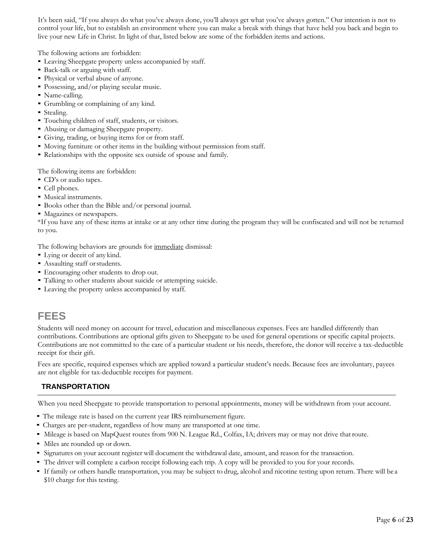It's been said, "If you always do what you've always done, you'll always get what you've always gotten." Our intention is not to control your life, but to establish an environment where you can make a break with things that have held you back and begin to live your new Life in Christ. In light of that, listed below are some of the forbidden items and actions.

The following actions are forbidden:

- Leaving Sheepgate property unless accompanied by staff.
- **Back-talk or arguing with staff.**
- Physical or verbal abuse of anyone.
- Possessing, and/or playing secular music.
- Name-calling.
- Grumbling or complaining of any kind.
- Stealing.
- Touching children of staff, students, or visitors.
- Abusing or damaging Sheepgate property.
- Giving, trading, or buying items for or from staff.
- Moving furniture or other items in the building without permission from staff.
- Relationships with the opposite sex outside of spouse and family.

The following items are forbidden:

- CD's or audio tapes.
- Cell phones.
- Musical instruments.
- Books other than the Bible and/or personal journal.
- Magazines or newspapers.

\*If you have any of these items at intake or at any other time during the program they will be confiscated and will not be returned to you.

The following behaviors are grounds for immediate dismissal:

- Lying or deceit of any kind.
- **Assaulting staff or students.**
- Encouraging other students to drop out.
- Talking to other students about suicide or attempting suicide.
- **Leaving the property unless accompanied by staff.**

### <span id="page-5-0"></span>**FEES**

Students will need money on account for travel, education and miscellaneous expenses. Fees are handled differently than contributions. Contributions are optional gifts given to Sheepgate to be used for general operations or specific capital projects. Contributions are not committed to the care of a particular student or his needs, therefore, the donor will receive a tax-deductible receipt for their gift.

Fees are specific, required expenses which are applied toward a particular student's needs. Because fees are involuntary, payees are not eligible for tax-deductible receipts for payment.

#### <span id="page-5-1"></span>**TRANSPORTATION**

When you need Sheepgate to provide transportation to personal appointments, money will be withdrawn from your account.

- The mileage rate is based on the current year IRS reimbursement figure.
- Charges are per-student, regardless of how many are transported at one time.
- Mileage is based on MapQuest routes from 900 N. League Rd., Colfax, IA; drivers may or may not drive that route.
- Miles are rounded up or down.
- Signatures on your account register will document the withdrawal date, amount, and reason for the transaction.
- The driver will complete a carbon receipt following each trip. A copy will be provided to you for your records.
- If family or others handle transportation, you may be subject to drug, alcohol and nicotine testing upon return. There will be a \$10 charge for this testing.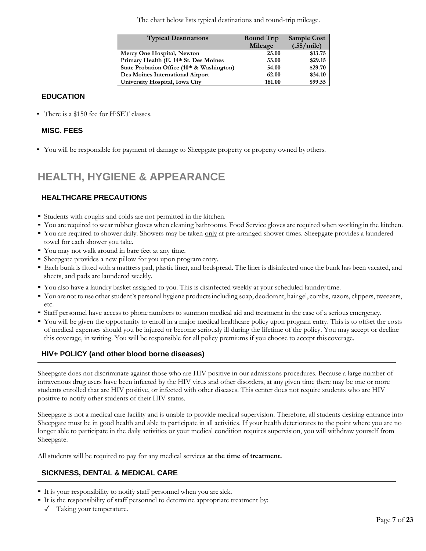The chart below lists typical destinations and round-trip mileage.

| <b>Typical Destinations</b>                | <b>Round Trip</b><br>Mileage | <b>Sample Cost</b><br>(.55/mile) |
|--------------------------------------------|------------------------------|----------------------------------|
| Mercy One Hospital, Newton                 | 25.00                        | \$13.75                          |
| Primary Health (E. 14th St. Des Moines     | 53.00                        | \$29.15                          |
| State Probation Office (10th & Washington) | 54.00                        | \$29.70                          |
| Des Moines International Airport           | 62.00                        | \$34.10                          |
| University Hospital, Iowa City             | 181.00                       | \$99.55                          |

#### <span id="page-6-0"></span>**EDUCATION**

<span id="page-6-1"></span>▪ There is a \$150 fee for HiSET classes.

#### **MISC. FEES**

▪ You will be responsible for payment of damage to Sheepgate property or property owned byothers.

# <span id="page-6-2"></span>**HEALTH, HYGIENE & APPEARANCE**

#### <span id="page-6-3"></span>**HEALTHCARE PRECAUTIONS**

- Students with coughs and colds are not permitted in the kitchen.
- You are required to wear rubber gloves when cleaning bathrooms. Food Service gloves are required when working in the kitchen.
- You are required to shower daily. Showers may be taken only at pre-arranged shower times. Sheepgate provides a laundered towel for each shower you take.
- You may not walk around in bare feet at any time.
- Sheepgate provides a new pillow for you upon program entry.
- Each bunk is fitted with a mattress pad, plastic liner, and bedspread. The liner is disinfected once the bunk has been vacated, and sheets, and pads are laundered weekly.
- You also have a laundry basket assigned to you. This is disinfected weekly at your scheduled laundry time.
- You are not to use otherstudent's personal hygiene productsincluding soap, deodorant, hair gel, combs, razors, clippers, tweezers, etc.
- Staff personnel have access to phone numbers to summon medical aid and treatment in the case of a serious emergency.
- You will be given the opportunity to enroll in a major medical healthcare policy upon program entry. This is to offset the costs of medical expenses should you be injured or become seriously ill during the lifetime of the policy. You may accept or decline this coverage, in writing. You will be responsible for all policy premiums if you choose to accept this coverage.

#### **HIV+ POLICY (and other blood borne diseases)**

Sheepgate does not discriminate against those who are HIV positive in our admissions procedures. Because a large number of intravenous drug users have been infected by the HIV virus and other disorders, at any given time there may be one or more students enrolled that are HIV positive, or infected with other diseases. This center does not require students who are HIV positive to notify other students of their HIV status.

Sheepgate is not a medical care facility and is unable to provide medical supervision. Therefore, all students desiring entrance into Sheepgate must be in good health and able to participate in all activities. If your health deteriorates to the point where you are no longer able to participate in the daily activities or your medical condition requires supervision, you will withdraw yourself from Sheepgate.

All students will be required to pay for any medical services **at the time of treatment.**

#### <span id="page-6-4"></span>**SICKNESS, DENTAL & MEDICAL CARE**

- It is your responsibility to notify staff personnel when you are sick.
- It is the responsibility of staff personnel to determine appropriate treatment by:
	- ✓ Taking your temperature.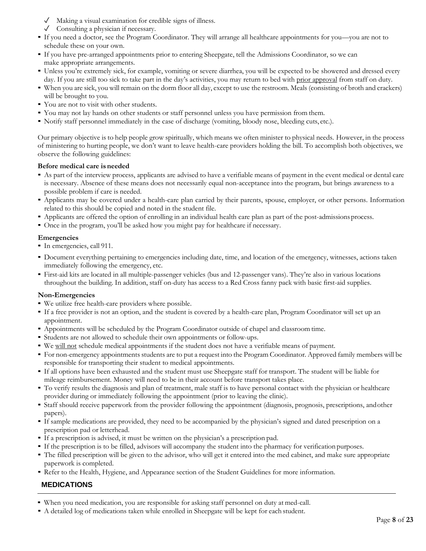- ✓ Making a visual examination for credible signs of illness.
- ✓ Consulting a physician if necessary.
- If you need a doctor, see the Program Coordinator. They will arrange all healthcare appointments for you—you are not to schedule these on your own.
- If you have pre-arranged appointments prior to entering Sheepgate, tell the Admissions Coordinator, so we can make appropriate arrangements.
- Unless you're extremely sick, for example, vomiting or severe diarrhea, you will be expected to be showered and dressed every day. If you are still too sick to take part in the day's activities, you may return to bed with prior approval from staff on duty.
- When you are sick, you will remain on the dorm floor all day, except to use the restroom. Meals (consisting of broth and crackers) will be brought to you.
- You are not to visit with other students.
- You may not lay hands on other students or staff personnel unless you have permission from them.
- Notify staff personnel immediately in the case of discharge (vomiting, bloody nose, bleeding cuts, etc.).

Our primary objective is to help people grow spiritually, which means we often minister to physical needs. However, in the process of ministering to hurting people, we don't want to leave health-care providers holding the bill. To accomplish both objectives, we observe the following guidelines:

#### **Before medical care is needed**

- As part of the interview process, applicants are advised to have a verifiable means of payment in the event medical or dental care is necessary. Absence of these means does not necessarily equal non-acceptance into the program, but brings awareness to a possible problem if care is needed.
- Applicants may be covered under a health-care plan carried by their parents, spouse, employer, or other persons. Information related to this should be copied and noted in the student file.
- Applicants are offered the option of enrolling in an individual health care plan as part of the post-admissions process.
- Once in the program, you'll be asked how you might pay for healthcare if necessary.

#### **Emergencies**

- In emergencies, call 911.
- Document everything pertaining to emergencies including date, time, and location of the emergency, witnesses, actions taken immediately following the emergency, etc.
- First-aid kits are located in all multiple-passenger vehicles (bus and 12-passenger vans). They're also in various locations throughout the building. In addition, staff on-duty has access to a Red Cross fanny pack with basic first-aid supplies.

#### **Non-Emergencies**

- We utilize free health-care providers where possible.
- If a free provider is not an option, and the student is covered by a health-care plan, Program Coordinator will set up an appointment.
- Appointments will be scheduled by the Program Coordinator outside of chapel and classroom time.
- Students are not allowed to schedule their own appointments or follow-ups.
- We will not schedule medical appointments if the student does not have a verifiable means of payment.
- For non-emergency appointments students are to put a request into the Program Coordinator. Approved family members will be responsible for transporting their student to medical appointments.
- If all options have been exhausted and the student must use Sheepgate staff for transport. The student will be liable for mileage reimbursement. Money will need to be in their account before transport takes place.
- To verify results the diagnosis and plan of treatment, male staff is to have personal contact with the physician or healthcare provider during or immediately following the appointment (prior to leaving the clinic).
- Staff should receive paperwork from the provider following the appointment (diagnosis, prognosis, prescriptions, andother papers).
- If sample medications are provided, they need to be accompanied by the physician's signed and dated prescription on a prescription pad or letterhead.
- If a prescription is advised, it must be written on the physician's a prescription pad.
- If the prescription is to be filled, advisors will accompany the student into the pharmacy for verification purposes.
- The filled prescription will be given to the advisor, who will get it entered into the med cabinet, and make sure appropriate paperwork is completed.
- <span id="page-7-0"></span>**• Refer to the Health, Hygiene, and Appearance section of the Student Guidelines for more information.**

#### **MEDICATIONS**

- When you need medication, you are responsible for asking staff personnel on duty at med-call.
- A detailed log of medications taken while enrolled in Sheepgate will be kept for each student.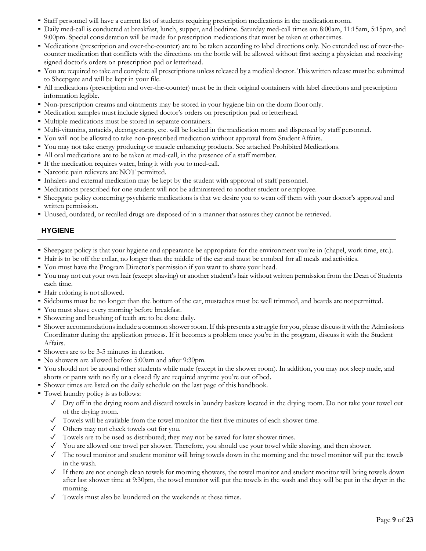- Staff personnel will have a current list of students requiring prescription medications in the medication room.
- Daily med-call is conducted at breakfast, lunch, supper, and bedtime. Saturday med-call times are 8:00am, 11:15am, 5:15pm, and 9:00pm. Special consideration will be made for prescription medications that must be taken at othertimes.
- Medications (prescription and over-the-counter) are to be taken according to label directions only. No extended use of over-thecounter medication that conflicts with the directions on the bottle will be allowed without first seeing a physician and receiving signed doctor's orders on prescription pad or letterhead.
- You are required to take and complete all prescriptions unless released by a medical doctor. This written release must be submitted to Sheepgate and will be kept in your file.
- All medications (prescription and over-the-counter) must be in their original containers with label directions and prescription information legible.
- Non-prescription creams and ointments may be stored in your hygiene bin on the dorm floor only.
- Medication samples must include signed doctor's orders on prescription pad or letterhead.
- Multiple medications must be stored in separate containers.
- Multi-vitamins, antacids, decongestants, etc. will be locked in the medication room and dispensed by staff personnel.
- You will not be allowed to take non-prescribed medication without approval from Student Affairs.
- You may not take energy producing or muscle enhancing products. See attached Prohibited Medications.
- All oral medications are to be taken at med-call, in the presence of a staff member.
- If the medication requires water, bring it with you to med-call.
- **Narcotic pain relievers are NOT permitted.**
- Inhalers and external medication may be kept by the student with approval of staff personnel.
- Medications prescribed for one student will not be administered to another student or employee.
- Sheepgate policy concerning psychiatric medications is that we desire you to wean off them with your doctor's approval and written permission.
- Unused, outdated, or recalled drugs are disposed of in a manner that assures they cannot be retrieved.

#### <span id="page-8-0"></span>**HYGIENE**

- Sheepgate policy is that your hygiene and appearance be appropriate for the environment you're in (chapel, work time, etc.).
- Hair is to be off the collar, no longer than the middle of the ear and must be combed for all meals andactivities.
- You must have the Program Director's permission if you want to shave your head.
- You may not cut your own hair (except shaving) or another student's hair without written permission from the Dean of Students each time.
- Hair coloring is not allowed.
- Sideburns must be no longer than the bottom of the ear, mustaches must be well trimmed, and beards are notpermitted.
- You must shave every morning before breakfast.
- Showering and brushing of teeth are to be done daily.
- Shower accommodations include a common shower room. If this presents a struggle for you, please discussit with the Admissions Coordinator during the application process. If it becomes a problem once you're in the program, discuss it with the Student Affairs.
- Showers are to be 3-5 minutes in duration.
- No showers are allowed before 5:00am and after 9:30pm.
- You should not be around other students while nude (except in the shower room). In addition, you may not sleep nude, and shorts or pants with no fly or a closed fly are required anytime you're out of bed.
- Shower times are listed on the daily schedule on the last page of this handbook.
- Towel laundry policy is as follows:
	- ✓ Dry off in the drying room and discard towels in laundry baskets located in the drying room. Do not take your towel out of the drying room.
	- $\checkmark$  Towels will be available from the towel monitor the first five minutes of each shower time.
	- ✓ Others may not check towels out for you.
	- ✓ Towels are to be used as distributed; they may not be saved for later showertimes.
	- ✓ You are allowed one towel per shower. Therefore, you should use your towel while shaving, and then shower.
	- ✓ The towel monitor and student monitor will bring towels down in the morning and the towel monitor will put the towels in the wash.
	- $\checkmark$  If there are not enough clean towels for morning showers, the towel monitor and student monitor will bring towels down after last shower time at 9:30pm, the towel monitor will put the towels in the wash and they will be put in the dryer in the morning.
	- ✓ Towels must also be laundered on the weekends at these times.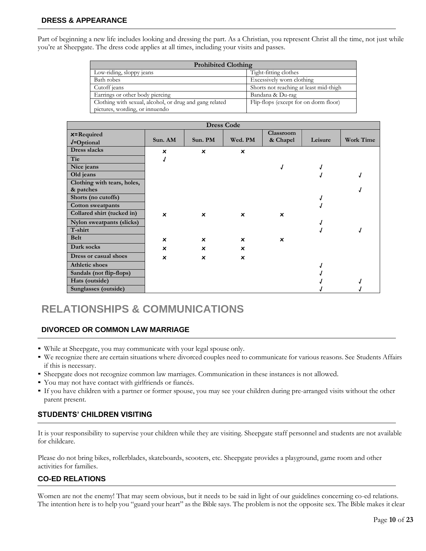#### <span id="page-9-0"></span>**DRESS & APPEARANCE**

Part of beginning a new life includes looking and dressing the part. As a Christian, you represent Christ all the time, not just while you're at Sheepgate. The dress code applies at all times, including your visits and passes.

| <b>Prohibited Clothing</b>                              |                                        |
|---------------------------------------------------------|----------------------------------------|
| Low-riding, sloppy jeans                                | Tight-fitting clothes                  |
| Bath robes                                              | Excessively worn clothing              |
| Cutoff jeans                                            | Shorts not reaching at least mid-thigh |
| Earrings or other body piercing                         | Bandana & Du-rag                       |
| Clothing with sexual, alcohol, or drug and gang related | Flip-flops (except for on dorm floor)  |
| pictures, wording, or innuendo                          |                                        |

| <b>Dress Code</b>           |                           |                           |                           |                           |         |                  |  |  |  |
|-----------------------------|---------------------------|---------------------------|---------------------------|---------------------------|---------|------------------|--|--|--|
| $x = Required$              |                           |                           |                           | Classroom                 |         |                  |  |  |  |
| $J=Optional$                | Sun. AM                   | Sun. PM                   | Wed. PM                   | & Chapel                  | Leisure | <b>Work Time</b> |  |  |  |
| Dress slacks                | ×                         | $\boldsymbol{\mathsf{x}}$ | $\boldsymbol{\mathsf{x}}$ |                           |         |                  |  |  |  |
| Tie                         |                           |                           |                           |                           |         |                  |  |  |  |
| Nice jeans                  |                           |                           |                           |                           |         |                  |  |  |  |
| Old jeans                   |                           |                           |                           |                           |         |                  |  |  |  |
| Clothing with tears, holes, |                           |                           |                           |                           |         |                  |  |  |  |
| & patches                   |                           |                           |                           |                           |         |                  |  |  |  |
| Shorts (no cutoffs)         |                           |                           |                           |                           |         |                  |  |  |  |
| <b>Cotton sweatpants</b>    |                           |                           |                           |                           |         |                  |  |  |  |
| Collared shirt (tucked in)  | $\boldsymbol{\mathsf{x}}$ | $\boldsymbol{\mathsf{x}}$ | $\boldsymbol{\mathsf{x}}$ | $\boldsymbol{\mathsf{x}}$ |         |                  |  |  |  |
| Nylon sweatpants (slicks)   |                           |                           |                           |                           |         |                  |  |  |  |
| T-shirt                     |                           |                           |                           |                           |         |                  |  |  |  |
| <b>Belt</b>                 | ×                         | $\boldsymbol{\mathsf{x}}$ | $\boldsymbol{\mathsf{x}}$ | $\boldsymbol{\mathsf{x}}$ |         |                  |  |  |  |
| Dark socks                  | $\boldsymbol{\mathsf{x}}$ | $\boldsymbol{\mathsf{x}}$ | $\boldsymbol{\mathsf{x}}$ |                           |         |                  |  |  |  |
| Dress or casual shoes       | $\boldsymbol{\mathsf{x}}$ | $\boldsymbol{\mathsf{x}}$ | $\boldsymbol{\mathsf{x}}$ |                           |         |                  |  |  |  |
| <b>Athletic shoes</b>       |                           |                           |                           |                           |         |                  |  |  |  |
| Sandals (not flip-flops)    |                           |                           |                           |                           |         |                  |  |  |  |
| Hats (outside)              |                           |                           |                           |                           |         |                  |  |  |  |
| Sunglasses (outside)        |                           |                           |                           |                           |         |                  |  |  |  |

## **RELATIONSHIPS & COMMUNICATIONS**

#### <span id="page-9-1"></span>**DIVORCED OR COMMON LAW MARRIAGE**

- While at Sheepgate, you may communicate with your legal spouse only.
- We recognize there are certain situations where divorced couples need to communicate for various reasons. See Students Affairs if this is necessary.
- Sheepgate does not recognize common law marriages. Communication in these instances is not allowed.
- You may not have contact with girlfriends or fiancés.
- If you have children with a partner or former spouse, you may see your children during pre-arranged visits without the other parent present.

#### <span id="page-9-2"></span>**STUDENTS' CHILDREN VISITING**

It is your responsibility to supervise your children while they are visiting. Sheepgate staff personnel and students are not available for childcare.

Please do not bring bikes, rollerblades, skateboards, scooters, etc. Sheepgate provides a playground, game room and other activities for families.

#### <span id="page-9-3"></span>**CO-ED RELATIONS**

Women are not the enemy! That may seem obvious, but it needs to be said in light of our guidelines concerning co-ed relations. The intention here is to help you "guard your heart" as the Bible says. The problem is not the opposite sex. The Bible makes it clear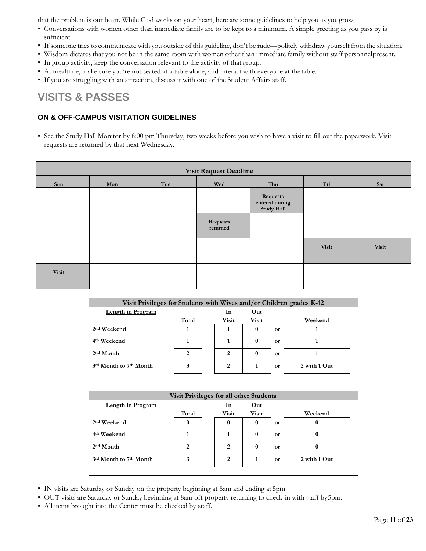that the problem is our heart. While God works on your heart, here are some guidelines to help you as yougrow:

- Conversations with women other than immediate family are to be kept to a minimum. A simple greeting as you pass by is sufficient.
- If someone tries to communicate with you outside of this guideline, don't be rude—politely withdraw yourselffrom the situation.
- Wisdom dictates that you not be in the same room with women other than immediate family without staff personnelpresent.
- In group activity, keep the conversation relevant to the activity of that group.
- At mealtime, make sure you're not seated at a table alone, and interact with everyone at the table.
- If you are struggling with an attraction, discuss it with one of the Student Affairs staff.

### <span id="page-10-0"></span>**VISITS & PASSES**

#### <span id="page-10-1"></span>**ON & OFF-CAMPUS VISITATION GUIDELINES**

• See the Study Hall Monitor by 8:00 pm Thursday, two weeks before you wish to have a visit to fill out the paperwork. Visit requests are returned by that next Wednesday.

| <b>Visit Request Deadline</b> |                          |  |                      |                                                 |       |              |  |  |  |
|-------------------------------|--------------------------|--|----------------------|-------------------------------------------------|-------|--------------|--|--|--|
| Sun                           | Tue<br>Thu<br>Wed<br>Mon |  |                      |                                                 |       | Sat          |  |  |  |
|                               |                          |  |                      | Requests<br>entered during<br><b>Study Hall</b> |       |              |  |  |  |
|                               |                          |  | Requests<br>returned |                                                 |       |              |  |  |  |
|                               |                          |  |                      |                                                 | Visit | <b>Visit</b> |  |  |  |
| Visit                         |                          |  |                      |                                                 |       |              |  |  |  |

| Visit Privileges for Students with Wives and/or Children grades K-12 |       |  |              |          |    |              |  |  |  |
|----------------------------------------------------------------------|-------|--|--------------|----------|----|--------------|--|--|--|
| Length in Program                                                    |       |  | In           | Out      |    |              |  |  |  |
|                                                                      | Total |  | <b>Visit</b> | Visit    |    | Weekend      |  |  |  |
| 2 <sup>nd</sup> Weekend                                              |       |  |              | $\bf{0}$ | or |              |  |  |  |
| 4 <sup>th</sup> Weekend                                              |       |  |              | $\bf{0}$ | or |              |  |  |  |
| $2nd$ Month                                                          | 2     |  | 2            | $\bf{0}$ | or |              |  |  |  |
| 3rd Month to 7th Month                                               | 3     |  | 2            |          | or | 2 with 1 Out |  |  |  |
|                                                                      |       |  |              |          |    |              |  |  |  |

| Visit Privileges for all other Students |       |  |       |              |           |              |  |  |  |
|-----------------------------------------|-------|--|-------|--------------|-----------|--------------|--|--|--|
| <b>Length in Program</b>                |       |  | In    | Out          |           |              |  |  |  |
|                                         | Total |  | Visit | <b>Visit</b> |           | Weekend      |  |  |  |
| 2 <sup>nd</sup> Weekend                 | 0     |  | 0     | 0            | <b>or</b> | o            |  |  |  |
| 4 <sup>th</sup> Weekend                 |       |  |       | 0            | or        |              |  |  |  |
| $2nd$ Month                             | 2     |  | 2     | 0            | or        |              |  |  |  |
| 3rd Month to 7th Month                  | 3     |  | 2     |              | or        | 2 with 1 Out |  |  |  |
|                                         |       |  |       |              |           |              |  |  |  |

- IN visits are Saturday or Sunday on the property beginning at 8am and ending at 5pm.
- OUT visits are Saturday or Sunday beginning at 8am off property returning to check-in with staff by5pm.
- All items brought into the Center must be checked by staff.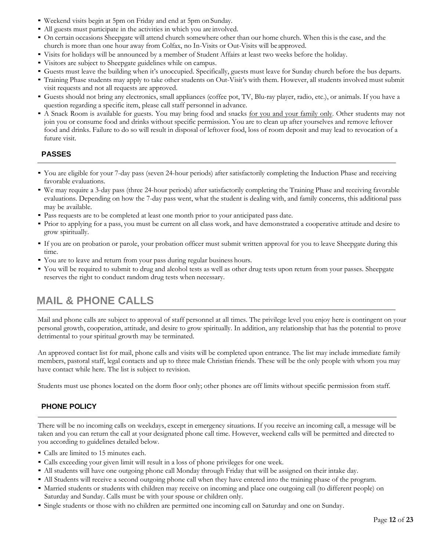- Weekend visits begin at 5pm on Friday and end at 5pm on Sunday.
- All guests must participate in the activities in which you are involved.
- On certain occasions Sheepgate will attend church somewhere other than our home church. When this is the case, and the church is more than one hour away from Colfax, no In-Visits or Out-Visits will be approved.
- Visits for holidays will be announced by a member of Student Affairs at least two weeks before the holiday.
- Visitors are subject to Sheepgate guidelines while on campus.
- Guests must leave the building when it's unoccupied. Specifically, guests must leave for Sunday church before the bus departs.
- Training Phase students may apply to take other students on Out-Visit's with them. However, all students involved must submit visit requests and not all requests are approved.
- Guests should not bring any electronics, small appliances (coffee pot, TV, Blu-ray player, radio, etc.), or animals. If you have a question regarding a specific item, please call staff personnel in advance.
- A Snack Room is available for guests. You may bring food and snacks for you and your family only. Other students may not join you or consume food and drinks without specific permission. You are to clean up after yourselves and remove leftover food and drinks. Failure to do so will result in disposal of leftover food, loss of room deposit and may lead to revocation of a future visit.

#### <span id="page-11-0"></span>**PASSES**

- You are eligible for your 7-day pass (seven 24-hour periods) after satisfactorily completing the Induction Phase and receiving favorable evaluations.
- We may require a 3-day pass (three 24-hour periods) after satisfactorily completing the Training Phase and receiving favorable evaluations. Depending on how the 7-day pass went, what the student is dealing with, and family concerns, this additional pass may be available.
- Pass requests are to be completed at least one month prior to your anticipated pass date.
- Prior to applying for a pass, you must be current on all class work, and have demonstrated a cooperative attitude and desire to grow spiritually.
- If you are on probation or parole, your probation officer must submit written approval for you to leave Sheepgate during this time.
- You are to leave and return from your pass during regular business hours.
- You will be required to submit to drug and alcohol tests as well as other drug tests upon return from your passes. Sheepgate reserves the right to conduct random drug tests when necessary.

# <span id="page-11-1"></span>**MAIL & PHONE CALLS**

Mail and phone calls are subject to approval of staff personnel at all times. The privilege level you enjoy here is contingent on your personal growth, cooperation, attitude, and desire to grow spiritually. In addition, any relationship that has the potential to prove detrimental to your spiritual growth may be terminated.

An approved contact list for mail, phone calls and visits will be completed upon entrance. The list may include immediate family members, pastoral staff, legal contacts and up to three male Christian friends. These will be the only people with whom you may have contact while here. The list is subject to revision.

Students must use phones located on the dorm floor only; other phones are off limits without specific permission from staff.

#### <span id="page-11-2"></span>**PHONE POLICY**

There will be no incoming calls on weekdays, except in emergency situations. If you receive an incoming call, a message will be taken and you can return the call at your designated phone call time. However, weekend calls will be permitted and directed to you according to guidelines detailed below.

- Calls are limited to 15 minutes each.
- Calls exceeding your given limit will result in a loss of phone privileges for one week.
- All students will have one outgoing phone call Monday through Friday that will be assigned on their intake day.
- All Students will receive a second outgoing phone call when they have entered into the training phase of the program.
- Married students or students with children may receive on incoming and place one outgoing call (to different people) on Saturday and Sunday. Calls must be with your spouse or children only.
- Single students or those with no children are permitted one incoming call on Saturday and one on Sunday.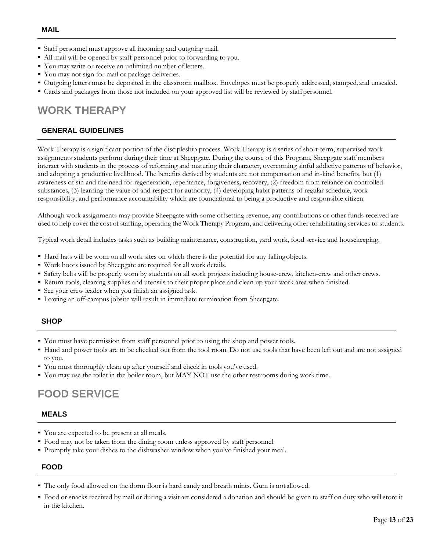- <span id="page-12-0"></span>■ Staff personnel must approve all incoming and outgoing mail.
- All mail will be opened by staff personnel prior to forwarding to you.
- You may write or receive an unlimited number of letters.
- You may not sign for mail or package deliveries.
- Outgoing letters must be deposited in the classroom mailbox. Envelopes must be properly addressed, stamped, and unsealed.
- Cards and packages from those not included on your approved list will be reviewed by staffpersonnel.

# <span id="page-12-1"></span>**WORK THERAPY**

#### <span id="page-12-2"></span>**GENERAL GUIDELINES**

Work Therapy is a significant portion of the discipleship process. Work Therapy is a series of short-term, supervised work assignments students perform during their time at Sheepgate. During the course of this Program, Sheepgate staff members interact with students in the process of reforming and maturing their character, overcoming sinful addictive patterns of behavior, and adopting a productive livelihood. The benefits derived by students are not compensation and in-kind benefits, but (1) awareness of sin and the need for regeneration, repentance, forgiveness, recovery, (2) freedom from reliance on controlled substances, (3) learning the value of and respect for authority, (4) developing habit patterns of regular schedule, work responsibility, and performance accountability which are foundational to being a productive and responsible citizen.

Although work assignments may provide Sheepgate with some offsetting revenue, any contributions or other funds received are used to help cover the cost of staffing, operating the Work Therapy Program, and delivering other rehabilitating services to students.

Typical work detail includes tasks such as building maintenance, construction, yard work, food service and housekeeping.

- Hard hats will be worn on all work sites on which there is the potential for any fallingobjects.
- Work boots issued by Sheepgate are required for all work details.
- Safety belts will be properly worn by students on all work projects including house-crew, kitchen-crew and other crews.
- Return tools, cleaning supplies and utensils to their proper place and clean up your work area when finished.
- See your crew leader when you finish an assigned task.
- Leaving an off-campus jobsite will result in immediate termination from Sheepgate.

#### <span id="page-12-3"></span>**SHOP**

- You must have permission from staff personnel prior to using the shop and power tools.
- Hand and power tools are to be checked out from the tool room. Do not use tools that have been left out and are not assigned to you.
- You must thoroughly clean up after yourself and check in tools you've used.
- You may use the toilet in the boiler room, but MAY NOT use the other restrooms during work time.

# <span id="page-12-4"></span>**FOOD SERVICE**

#### <span id="page-12-5"></span>**MEALS**

- You are expected to be present at all meals.
- Food may not be taken from the dining room unless approved by staff personnel.
- Promptly take your dishes to the dishwasher window when you've finished your meal.

#### <span id="page-12-6"></span>**FOOD**

- The only food allowed on the dorm floor is hard candy and breath mints. Gum is not allowed.
- Food or snacks received by mail or during a visit are considered a donation and should be given to staff on duty who will store it in the kitchen.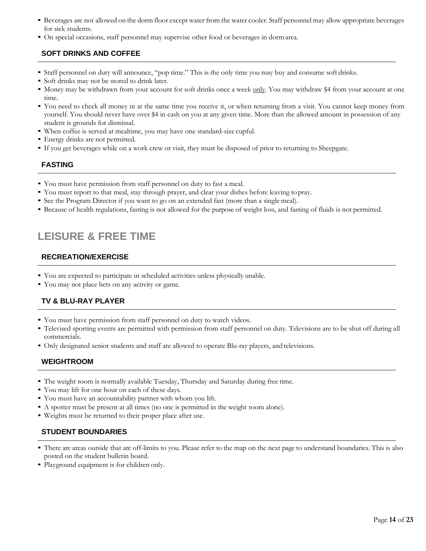- Beverages are not allowed on the dorm floor except water from the water cooler. Staff personnel may allow appropriate beverages for sick students.
- On special occasions, staff personnel may supervise other food or beverages in dormarea.

#### <span id="page-13-0"></span>**SOFT DRINKS AND COFFEE**

- Staff personnel on duty will announce, "pop time." This is the only time you may buy and consume soft drinks.
- Soft drinks may not be stored to drink later.
- Money may be withdrawn from your account for soft drinks once a week only. You may withdraw \$4 from your account at one time.
- You need to check all money in at the same time you receive it, or when returning from a visit. You cannot keep money from yourself. You should never have over \$4 in cash on you at any given time. More than the allowed amount in possession of any student is grounds for dismissal.
- When coffee is served at mealtime, you may have one standard-size cupful.
- **•** Energy drinks are not permitted.
- If you get beverages while on a work crew or visit, they must be disposed of prior to returning to Sheepgate.

#### <span id="page-13-1"></span>**FASTING**

- You must have permission from staff personnel on duty to fast a meal.
- You must report to that meal, stay through prayer, and clear your dishes before leaving topray.
- See the Program Director if you want to go on an extended fast (more than a single meal).
- Because of health regulations, fasting is not allowed for the purpose of weight loss, and fasting of fluids is not permitted.

# <span id="page-13-2"></span>**LEISURE & FREE TIME**

#### <span id="page-13-3"></span>**RECREATION/EXERCISE**

- You are expected to participate in scheduled activities unless physically unable.
- You may not place bets on any activity or game.

#### <span id="page-13-4"></span>**TV & BLU-RAY PLAYER**

- You must have permission from staff personnel on duty to watch videos.
- Televised sporting events are permitted with permission from staff personnel on duty. Televisions are to be shut off during all commercials.
- Only designated senior students and staff are allowed to operate Blu-ray players, and televisions.

#### <span id="page-13-5"></span>**WEIGHTROOM**

- The weight room is normally available Tuesday, Thursday and Saturday during free time.
- You may lift for one hour on each of these days.
- You must have an accountability partner with whom you lift.
- A spotter must be present at all times (no one is permitted in the weight room alone).
- Weights must be returned to their proper place after use.

#### <span id="page-13-6"></span>**STUDENT BOUNDARIES**

- There are areas outside that are off-limits to you. Please refer to the map on the next page to understand boundaries. This is also posted on the student bulletin board.
- Playground equipment is for children only.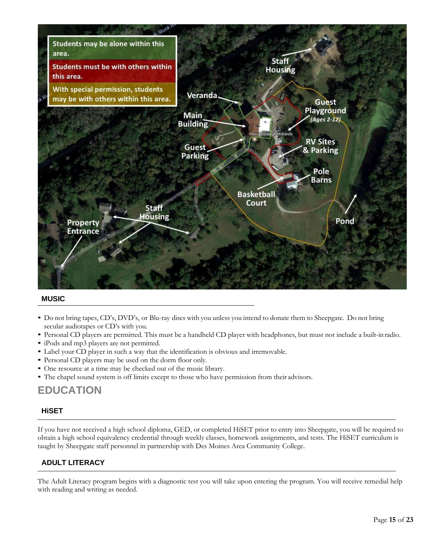

#### <span id="page-14-0"></span>**MUSIC**

- Do not bring tapes, CD's, DVD's, or Blu-ray discs with you unless you intend to donate them to Sheepgate. Do not bring secular audiotapes or CD's with you.
- Personal CD players are permitted. This must be a handheld CD player with headphones, but must not include a built-inradio.
- iPods and mp3 players are not permitted.
- Label your CD player in such a way that the identification is obvious and irremovable.
- Personal CD players may be used on the dorm floor only.
- One resource at a time may be checked out of the music library.
- The chapel sound system is off limits except to those who have permission from their advisors.

### <span id="page-14-1"></span>**EDUCATION**

#### <span id="page-14-2"></span>**HiSET**

If you have not received a high school diploma, GED, or completed HiSET prior to entry into Sheepgate, you will be required to obtain a high school equivalency credential through weekly classes, homework assignments, and tests. The HiSET curriculum is taught by Sheepgate staff personnel in partnership with Des Moines Area Community College.

#### <span id="page-14-3"></span>**ADULT LITERACY**

The Adult Literacy program begins with a diagnostic test you will take upon entering the program. You will receive remedial help with reading and writing as needed.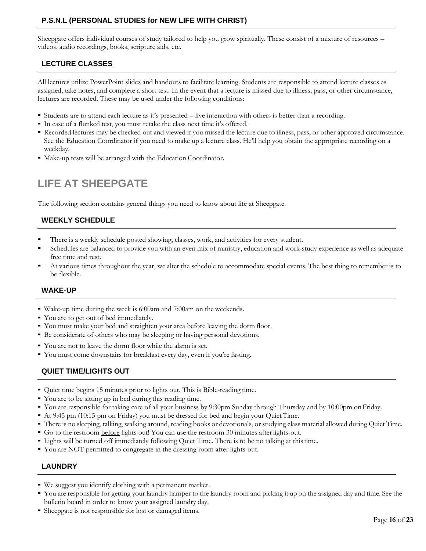#### <span id="page-15-0"></span>**P.S.N.L (PERSONAL STUDIES for NEW LIFE WITH CHRIST)**

Sheepgate offers individual courses of study tailored to help you grow spiritually. These consist of a mixture of resources – videos, audio recordings, books, scripture aids, etc.

#### <span id="page-15-1"></span>**LECTURE CLASSES**

All lectures utilize PowerPoint slides and handouts to facilitate learning. Students are responsible to attend lecture classes as assigned, take notes, and complete a short test. In the event that a lecture is missed due to illness, pass, or other circumstance, lectures are recorded. These may be used under the following conditions:

- Students are to attend each lecture as it's presented live interaction with others is better than a recording.
- In case of a flunked test, you must retake the class next time it's offered.
- Recorded lectures may be checked out and viewed if you missed the lecture due to illness, pass, or other approved circumstance. See the Education Coordinator if you need to make up a lecture class. He'll help you obtain the appropriate recording on a weekday.
- Make-up tests will be arranged with the Education Coordinator.

# <span id="page-15-2"></span>**LIFE AT SHEEPGATE**

The following section contains general things you need to know about life at Sheepgate.

#### <span id="page-15-3"></span>**WEEKLY SCHEDULE**

- There is a weekly schedule posted showing, classes, work, and activities for every student.
- Schedules are balanced to provide you with an even mix of ministry, education and work-study experience as well as adequate free time and rest.
- At various times throughout the year, we alter the schedule to accommodate special events. The best thing to remember is to be flexible.

#### <span id="page-15-4"></span>**WAKE-UP**

- Wake-up time during the week is 6:00am and 7:00am on the weekends.
- You are to get out of bed immediately.
- You must make your bed and straighten your area before leaving the dorm floor.
- Be considerate of others who may be sleeping or having personal devotions.
- You are not to leave the dorm floor while the alarm is set.
- You must come downstairs for breakfast every day, even if you're fasting.

#### <span id="page-15-5"></span>**QUIET TIME/LIGHTS OUT**

- Quiet time begins 15 minutes prior to lights out. This is Bible-reading time.
- You are to be sitting up in bed during this reading time.
- You are responsible for taking care of all your business by 9:30pm Sunday through Thursday and by 10:00pm onFriday.
- At 9:45 pm (10:15 pm on Friday) you must be dressed for bed and begin your Quiet Time.
- There is no sleeping, talking, walking around, reading books or devotionals, or studying class material allowed during Quiet Time.
- Go to the restroom before lights out! You can use the restroom 30 minutes afterlights-out.
- Lights will be turned off immediately following Quiet Time. There is to be no talking at thistime.
- You are NOT permitted to congregate in the dressing room after lights-out.

#### <span id="page-15-6"></span>**LAUNDRY**

- We suggest you identify clothing with a permanent marker.
- You are responsible for getting your laundry hamper to the laundry room and picking it up on the assigned day and time. See the bulletin board in order to know your assigned laundry day.
- Sheepgate is not responsible for lost or damaged items.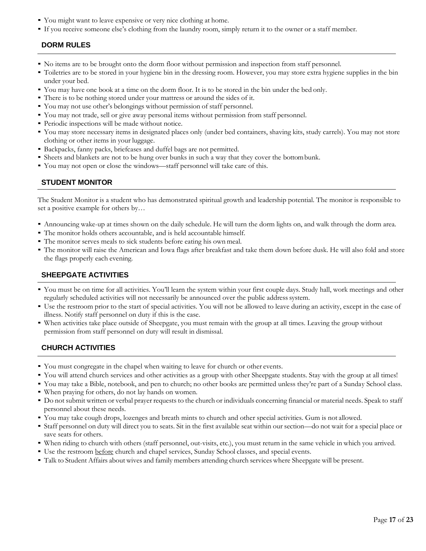- You might want to leave expensive or very nice clothing at home.
- If you receive someone else's clothing from the laundry room, simply return it to the owner or a staff member.

#### <span id="page-16-0"></span>**DORM RULES**

- No items are to be brought onto the dorm floor without permission and inspection from staff personnel.
- Toiletries are to be stored in your hygiene bin in the dressing room. However, you may store extra hygiene supplies in the bin under your bed.
- You may have one book at a time on the dorm floor. It is to be stored in the bin under the bed only.
- There is to be nothing stored under your mattress or around the sides of it.
- You may not use other's belongings without permission of staff personnel.
- You may not trade, sell or give away personal items without permission from staff personnel.
- Periodic inspections will be made without notice.
- <span id="page-16-4"></span>▪ You may store necessary items in designated places only (under bed containers, shaving kits, study carrels). You may not store clothing or other items in your luggage.
- Backpacks, fanny packs, briefcases and duffel bags are not permitted.
- Sheets and blankets are not to be hung over bunks in such a way that they cover the bottombunk.
- <span id="page-16-1"></span>• You may not open or close the windows—staff personnel will take care of this.

#### **STUDENT MONITOR**

The Student Monitor is a student who has demonstrated spiritual growth and leadership potential. The monitor is responsible to set a positive example for others by…

- Announcing wake-up at times shown on the daily schedule. He will turn the dorm lights on, and walk through the dorm area.
- The monitor holds others accountable, and is held accountable himself.
- The monitor serves meals to sick students before eating his own meal.
- The monitor will raise the American and Iowa flags after breakfast and take them down before dusk. He will also fold and store the flags properly each evening.

#### <span id="page-16-2"></span>**SHEEPGATE ACTIVITIES**

- You must be on time for all activities. You'll learn the system within your first couple days. Study hall, work meetings and other regularly scheduled activities will not necessarily be announced over the public address system.
- Use the restroom prior to the start of special activities. You will not be allowed to leave during an activity, except in the case of illness. Notify staff personnel on duty if this is the case.
- When activities take place outside of Sheepgate, you must remain with the group at all times. Leaving the group without permission from staff personnel on duty will result in dismissal.

#### <span id="page-16-3"></span>**CHURCH ACTIVITIES**

- You must congregate in the chapel when waiting to leave for church or other events.
- You will attend church services and other activities as a group with other Sheepgate students. Stay with the group at all times!
- You may take a Bible, notebook, and pen to church; no other books are permitted unless they're part of a Sunday School class.
- When praying for others, do not lay hands on women.
- Do not submit written or verbal prayer requests to the church or individuals concerning financial or material needs. Speak to staff personnel about these needs.
- You may take cough drops, lozenges and breath mints to church and other special activities. Gum is not allowed.
- Staff personnel on duty will direct you to seats. Sit in the first available seat within our section—do not wait for a special place or save seats for others.
- When riding to church with others (staff personnel, out-visits, etc.), you must return in the same vehicle in which you arrived.
- **•** Use the restroom **before** church and chapel services, Sunday School classes, and special events.
- Talk to Student Affairs about wives and family members attending church services where Sheepgate will be present.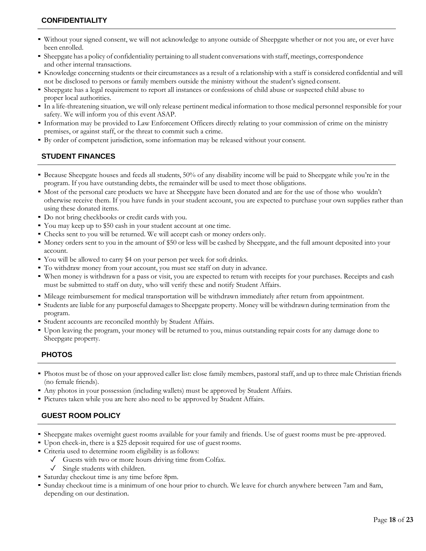#### <span id="page-17-0"></span>**CONFIDENTIALITY**

- Without your signed consent, we will not acknowledge to anyone outside of Sheepgate whether or not you are, or ever have been enrolled.
- Sheepgate has a policy of confidentiality pertaining to allstudent conversationswith staff, meetings, correspondence and other internal transactions.
- Knowledge concerning students or their circumstances as a result of a relationship with a staff is considered confidential and will not be disclosed to persons or family members outside the ministry without the student's signed consent.
- Sheepgate has a legal requirement to report all instances or confessions of child abuse or suspected child abuse to proper local authorities.
- In a life-threatening situation, we will only release pertinent medical information to those medical personnel responsible for your safety. We will inform you of this event ASAP.
- Information may be provided to Law Enforcement Officers directly relating to your commission of crime on the ministry premises, or against staff, or the threat to commit such a crime.
- By order of competent jurisdiction, some information may be released without your consent.

#### <span id="page-17-1"></span>**STUDENT FINANCES**

- Because Sheepgate houses and feeds all students, 50% of any disability income will be paid to Sheepgate while you're in the program. If you have outstanding debts, the remainder will be used to meet those obligations.
- Most of the personal care products we have at Sheepgate have been donated and are for the use of those who wouldn't otherwise receive them. If you have funds in your student account, you are expected to purchase your own supplies rather than using these donated items.
- Do not bring checkbooks or credit cards with you.
- You may keep up to \$50 cash in your student account at one time.
- Checks sent to you will be returned. We will accept cash or money orders only.
- Money orders sent to you in the amount of \$50 or less will be cashed by Sheepgate, and the full amount deposited into your account.
- You will be allowed to carry \$4 on your person per week for soft drinks.
- To withdraw money from your account, you must see staff on duty in advance.
- When money is withdrawn for a pass or visit, you are expected to return with receipts for your purchases. Receipts and cash must be submitted to staff on duty, who will verify these and notify Student Affairs.
- Mileage reimbursement for medical transportation will be withdrawn immediately after return from appointment.
- Students are liable for any purposeful damagesto Sheepgate property. Money will be withdrawn during termination from the program.
- Student accounts are reconciled monthly by Student Affairs.
- Upon leaving the program, your money will be returned to you, minus outstanding repair costs for any damage done to Sheepgate property.

#### <span id="page-17-2"></span>**PHOTOS**

- Photos must be of those on your approved caller list: close family members, pastoral staff, and up to three male Christian friends (no female friends).
- Any photos in your possession (including wallets) must be approved by Student Affairs.
- Pictures taken while you are here also need to be approved by Student Affairs.

#### <span id="page-17-3"></span>**GUEST ROOM POLICY**

- Sheepgate makes overnight guest rooms available for your family and friends. Use of guest rooms must be pre-approved.
- Upon check-in, there is a \$25 deposit required for use of guestrooms.
- Criteria used to determine room eligibility is asfollows:
	- $\sqrt{\phantom{a}}$  Guests with two or more hours driving time from Colfax.
	- ✓ Single students with children.
- Saturday checkout time is any time before 8pm.
- Sunday checkout time is a minimum of one hour prior to church. We leave for church anywhere between 7am and 8am, depending on our destination.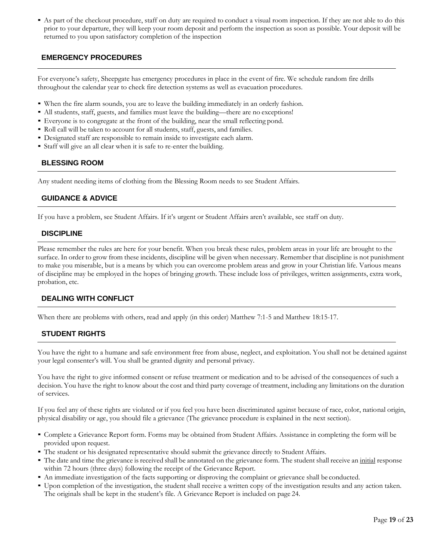▪ As part of the checkout procedure, staff on duty are required to conduct a visual room inspection. If they are not able to do this prior to your departure, they will keep your room deposit and perform the inspection as soon as possible. Your deposit will be returned to you upon satisfactory completion of the inspection

#### <span id="page-18-0"></span>**EMERGENCY PROCEDURES**

For everyone's safety, Sheepgate has emergency procedures in place in the event of fire. We schedule random fire drills throughout the calendar year to check fire detection systems as well as evacuation procedures.

- When the fire alarm sounds, you are to leave the building immediately in an orderly fashion.
- All students, staff, guests, and families must leave the building—there are no exceptions!
- Everyone is to congregate at the front of the building, near the small reflecting pond.
- Roll call will be taken to account for all students, staff, guests, and families.
- Designated staff are responsible to remain inside to investigate each alarm.
- Staff will give an all clear when it is safe to re-enter the building.

#### <span id="page-18-1"></span>**BLESSING ROOM**

Any student needing items of clothing from the Blessing Room needs to see Student Affairs.

#### <span id="page-18-2"></span>**GUIDANCE & ADVICE**

If you have a problem, see Student Affairs. If it's urgent or Student Affairs aren't available, see staff on duty.

#### <span id="page-18-3"></span>**DISCIPLINE**

Please remember the rules are here for your benefit. When you break these rules, problem areas in your life are brought to the surface. In order to grow from these incidents, discipline will be given when necessary. Remember that discipline is not punishment to make you miserable, but is a means by which you can overcome problem areas and grow in your Christian life. Various means of discipline may be employed in the hopes of bringing growth. These include loss of privileges, written assignments, extra work, probation, etc.

#### <span id="page-18-4"></span>**DEALING WITH CONFLICT**

When there are problems with others, read and apply (in this order) Matthew 7:1-5 and Matthew 18:15-17.

#### <span id="page-18-5"></span>**STUDENT RIGHTS**

You have the right to a humane and safe environment free from abuse, neglect, and exploitation. You shall not be detained against your legal consenter's will. You shall be granted dignity and personal privacy.

You have the right to give informed consent or refuse treatment or medication and to be advised of the consequences of such a decision. You have the right to know about the cost and third party coverage of treatment, including any limitations on the duration of services.

If you feel any of these rights are violated or if you feel you have been discriminated against because of race, color, national origin, physical disability or age, you should file a grievance (The grievance procedure is explained in the next section).

- Complete a Grievance Report form. Forms may be obtained from Student Affairs. Assistance in completing the form will be provided upon request.
- The student or his designated representative should submit the grievance directly to Student Affairs.
- The date and time the grievance isreceived shall be annotated on the grievance form. The student shall receive an initial response within 72 hours (three days) following the receipt of the Grievance Report.
- An immediate investigation of the facts supporting or disproving the complaint or grievance shall be conducted.
- Upon completion of the investigation, the student shall receive a written copy of the investigation results and any action taken. The originals shall be kept in the student's file. A Grievance Report is included on page 24.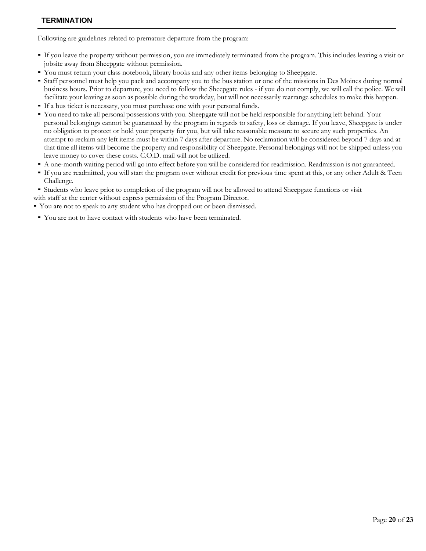<span id="page-19-0"></span>Following are guidelines related to premature departure from the program:

- If you leave the property without permission, you are immediately terminated from the program. This includes leaving a visit or jobsite away from Sheepgate without permission.
- You must return your class notebook, library books and any other items belonging to Sheepgate.
- Staff personnel must help you pack and accompany you to the bus station or one of the missions in Des Moines during normal business hours. Prior to departure, you need to follow the Sheepgate rules - if you do not comply, we will call the police. We will facilitate your leaving as soon as possible during the workday, but will not necessarily rearrange schedules to make this happen.
- If a bus ticket is necessary, you must purchase one with your personal funds.
- You need to take all personal possessions with you. Sheepgate will not be held responsible for anything left behind. Your personal belongings cannot be guaranteed by the program in regards to safety, loss or damage. If you leave, Sheepgate is under no obligation to protect or hold your property for you, but will take reasonable measure to secure any such properties. An attempt to reclaim any left items must be within 7 days after departure. No reclamation will be considered beyond 7 days and at that time all items will become the property and responsibility of Sheepgate. Personal belongings will not be shipped unless you leave money to cover these costs. C.O.D. mail will not be utilized.
- A one-month waiting period will go into effect before you will be considered for readmission. Readmission is not guaranteed.
- If you are readmitted, you will start the program over without credit for previous time spent at this, or any other Adult & Teen Challenge.
- Students who leave prior to completion of the program will not be allowed to attend Sheepgate functions or visit
- with staff at the center without express permission of the Program Director.
- You are not to speak to any student who has dropped out or been dismissed.
- You are not to have contact with students who have been terminated.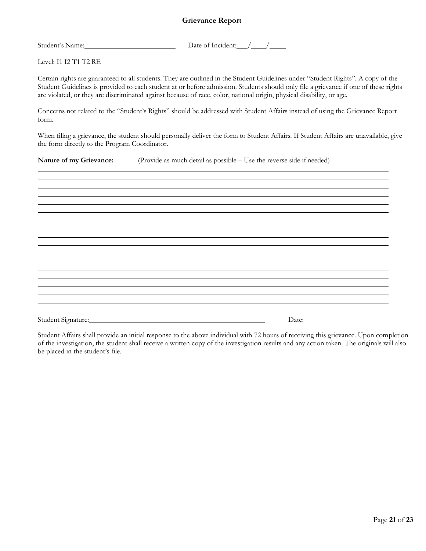#### **Grievance Report**

<span id="page-20-0"></span>Student's Name: Date of Incident: / /

Level: I1 I2 T1 T2 RE

Certain rights are guaranteed to all students. They are outlined in the Student Guidelines under "Student Rights". A copy of the Student Guidelines is provided to each student at or before admission. Students should only file a grievance if one of these rights are violated, or they are discriminated against because of race, color, national origin, physical disability, or age.

Concerns not related to the "Student's Rights" should be addressed with Student Affairs instead of using the Grievance Report form.

When filing a grievance, the student should personally deliver the form to Student Affairs. If Student Affairs are unavailable, give the form directly to the Program Coordinator.

**Nature of my Grievance:** (Provide as much detail as possible – Use the reverse side if needed)

Student Signature: Date:

Student Affairs shall provide an initial response to the above individual with 72 hours of receiving this grievance. Upon completion of the investigation, the student shall receive a written copy of the investigation results and any action taken. The originals will also be placed in the student's file.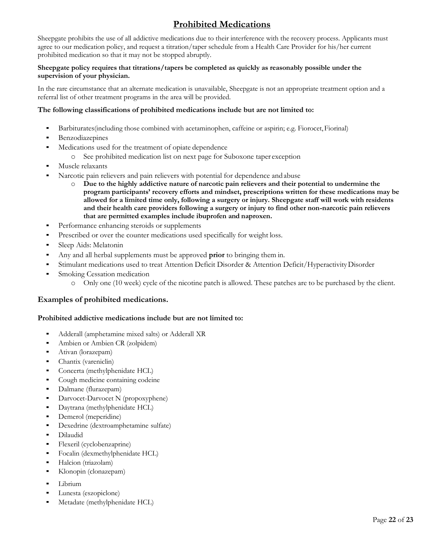### **Prohibited Medications**

<span id="page-21-0"></span>Sheepgate prohibits the use of all addictive medications due to their interference with the recovery process. Applicants must agree to our medication policy, and request a titration/taper schedule from a Health Care Provider for his/her current prohibited medication so that it may not be stopped abruptly.

#### **Sheepgate policy requires that titrations/tapers be completed as quickly as reasonably possible under the supervision of your physician.**

In the rare circumstance that an alternate medication is unavailable, Sheepgate is not an appropriate treatment option and a referral list of other treatment programs in the area will be provided.

#### **The following classifications of prohibited medications include but are not limited to:**

- Barbiturates (including those combined with acetaminophen, caffeine or aspirin; e.g. Fiorocet, Fiorinal)
- **•** Benzodiazepines
- Medications used for the treatment of opiate dependence
	- o See prohibited medication list on next page for Suboxone taper exception
- Muscle relaxants
- Narcotic pain relievers and pain relievers with potential for dependence and abuse
	- o **Due to the highly addictive nature of narcotic pain relievers and their potential to undermine the program participants' recovery efforts and mindset, prescriptions written for these medications may be allowed for a limited time only, following a surgery or injury. Sheepgate staff will work with residents and their health care providers following a surgery or injury to find other non-narcotic pain relievers that are permitted examples include ibuprofen and naproxen.**
- Performance enhancing steroids or supplements
- Prescribed or over the counter medications used specifically for weight loss.
- Sleep Aids: Melatonin
- Any and all herbal supplements must be approved **prior** to bringing them in.
- Stimulant medications used to treat Attention Deficit Disorder & Attention Deficit/Hyperactivity Disorder
- **Smoking Cessation medication** 
	- o Only one (10 week) cycle of the nicotine patch is allowed. These patches are to be purchased by the client.

#### **Examples of prohibited medications.**

#### **Prohibited addictive medications include but are not limited to:**

- Adderall (amphetamine mixed salts) or Adderall XR
- Ambien or Ambien CR (zolpidem)
- Ativan (lorazepam)
- Chantix (vareniclin)
- Concerta (methylphenidate HCL)
- Cough medicine containing codeine
- Dalmane (flurazepam)
- Darvocet-Darvocet N (propoxyphene)
- Daytrana (methylphenidate HCL)
- Demerol (meperidine)
- Dexedrine (dextroamphetamine sulfate)
- **Dilaudid**
- Flexeril (cyclobenzaprine)
- Focalin (dexmethylphenidate HCL)
- Halcion (triazolam)
- Klonopin (clonazepam)
- Librium
- Lunesta (eszopiclone)
- Metadate (methylphenidate HCL)